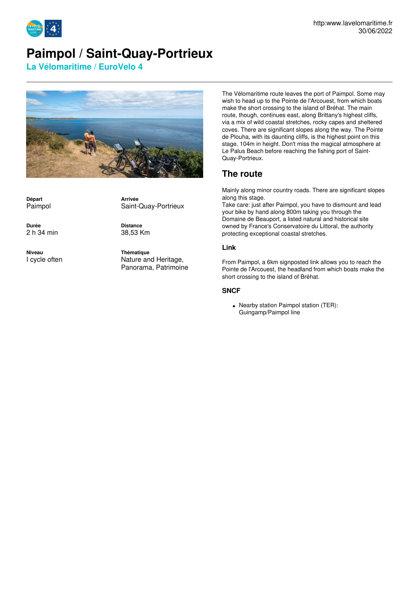

# **Paimpol / Saint-Quay-Portrieux**

**La Vélomaritime / EuroVelo 4**



**Départ** Paimpol

**Durée** 2 h 34 min

**Niveau** I cycle often **Arrivée** Saint-Quay-Portrieux

**Distance** 38,53 Km

**Thématique** Nature and Heritage, Panorama, Patrimoine The Vélomaritime route leaves the port of Paimpol. Some may wish to head up to the Pointe de l'Arcouest, from which boats make the short crossing to the island of Bréhat. The main route, though, continues east, along Brittany's highest cliffs, via a mix of wild coastal stretches, rocky capes and sheltered coves. There are significant slopes along the way. The Pointe de Plouha, with its daunting cliffs, is the highest point on this stage, 104m in height. Don't miss the magical atmosphere at Le Palus Beach before reaching the fishing port of Saint-Quay-Portrieux.

# **The route**

Mainly along minor country roads. There are significant slopes along this stage.

Take care: just after Paimpol, you have to dismount and lead your bike by hand along 800m taking you through the Domaine de Beauport, a listed natural and historical site owned by France's Conservatoire du Littoral, the authority protecting exceptional coastal stretches.

### **Link**

From Paimpol, a 6km signposted link allows you to reach the Pointe de l'Arcouest, the headland from which boats make the short crossing to the island of Bréhat.

### **SNCF**

• Nearby station Paimpol station (TER): Guingamp/Paimpol line